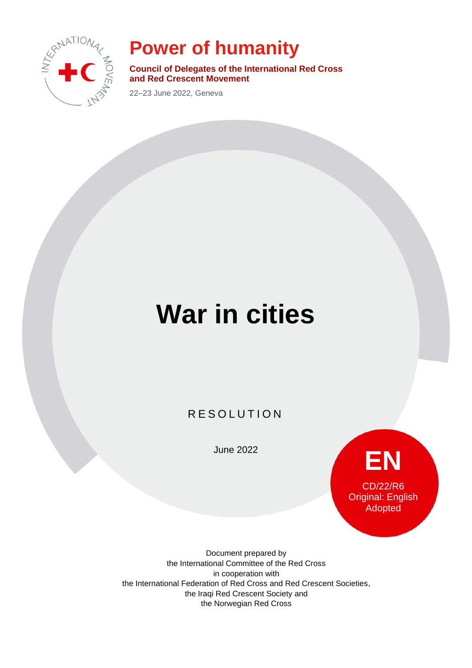

## **Power of humanity**

**Council of Delegates of the International Red Cross and Red Crescent Movement**

22–23 June 2022, Geneva

# **War in cities**

R E SOLUTION

June 2022



Document prepared by the International Committee of the Red Cross in cooperation with the International Federation of Red Cross and Red Crescent Societies, the Iraqi Red Crescent Society and the Norwegian Red Cross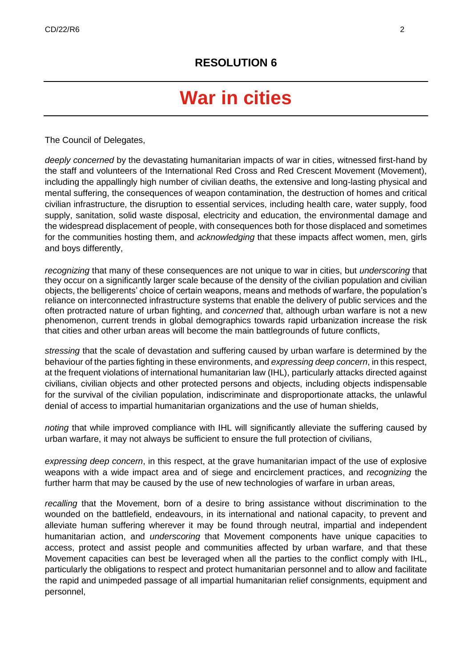## **War in cities**

The Council of Delegates,

*deeply concerned* by the devastating humanitarian impacts of war in cities, witnessed first-hand by the staff and volunteers of the International Red Cross and Red Crescent Movement (Movement), including the appallingly high number of civilian deaths, the extensive and long-lasting physical and mental suffering, the consequences of weapon contamination, the destruction of homes and critical civilian infrastructure, the disruption to essential services, including health care, water supply, food supply, sanitation, solid waste disposal, electricity and education, the environmental damage and the widespread displacement of people, with consequences both for those displaced and sometimes for the communities hosting them, and *acknowledging* that these impacts affect women, men, girls and boys differently,

*recognizing* that many of these consequences are not unique to war in cities, but *underscoring* that they occur on a significantly larger scale because of the density of the civilian population and civilian objects, the belligerents' choice of certain weapons, means and methods of warfare, the population's reliance on interconnected infrastructure systems that enable the delivery of public services and the often protracted nature of urban fighting, and *concerned* that, although urban warfare is not a new phenomenon, current trends in global demographics towards rapid urbanization increase the risk that cities and other urban areas will become the main battlegrounds of future conflicts,

*stressing* that the scale of devastation and suffering caused by urban warfare is determined by the behaviour of the parties fighting in these environments, and *expressing deep concern*, in this respect, at the frequent violations of international humanitarian law (IHL), particularly attacks directed against civilians, civilian objects and other protected persons and objects, including objects indispensable for the survival of the civilian population, indiscriminate and disproportionate attacks, the unlawful denial of access to impartial humanitarian organizations and the use of human shields,

*noting* that while improved compliance with IHL will significantly alleviate the suffering caused by urban warfare, it may not always be sufficient to ensure the full protection of civilians,

*expressing deep concern*, in this respect, at the grave humanitarian impact of the use of explosive weapons with a wide impact area and of siege and encirclement practices, and *recognizing* the further harm that may be caused by the use of new technologies of warfare in urban areas,

*recalling* that the Movement, born of a desire to bring assistance without discrimination to the wounded on the battlefield, endeavours, in its international and national capacity, to prevent and alleviate human suffering wherever it may be found through neutral, impartial and independent humanitarian action, and *underscoring* that Movement components have unique capacities to access, protect and assist people and communities affected by urban warfare, and that these Movement capacities can best be leveraged when all the parties to the conflict comply with IHL, particularly the obligations to respect and protect humanitarian personnel and to allow and facilitate the rapid and unimpeded passage of all impartial humanitarian relief consignments, equipment and personnel,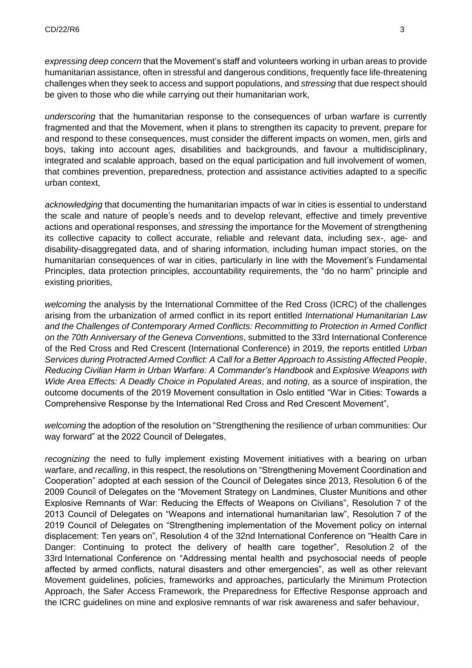*expressing deep concern* that the Movement's staff and volunteers working in urban areas to provide humanitarian assistance, often in stressful and dangerous conditions, frequently face life-threatening challenges when they seek to access and support populations, and *stressing* that due respect should be given to those who die while carrying out their humanitarian work,

*underscoring* that the humanitarian response to the consequences of urban warfare is currently fragmented and that the Movement, when it plans to strengthen its capacity to prevent, prepare for and respond to these consequences, must consider the different impacts on women, men, girls and boys, taking into account ages, disabilities and backgrounds, and favour a multidisciplinary, integrated and scalable approach, based on the equal participation and full involvement of women, that combines prevention, preparedness, protection and assistance activities adapted to a specific urban context,

*acknowledging* that documenting the humanitarian impacts of war in cities is essential to understand the scale and nature of people's needs and to develop relevant, effective and timely preventive actions and operational responses, and *stressing* the importance for the Movement of strengthening its collective capacity to collect accurate, reliable and relevant data, including sex-, age- and disability-disaggregated data, and of sharing information, including human impact stories, on the humanitarian consequences of war in cities, particularly in line with the Movement's Fundamental Principles, data protection principles, accountability requirements, the "do no harm" principle and existing priorities,

*welcoming* the analysis by the International Committee of the Red Cross (ICRC) of the challenges arising from the urbanization of armed conflict in its report entitled *International Humanitarian Law and the Challenges of Contemporary Armed Conflicts: Recommitting to Protection in Armed Conflict on the 70th Anniversary of the Geneva Conventions*, submitted to the 33rd International Conference of the Red Cross and Red Crescent (International Conference) in 2019, the reports entitled *Urban Services during Protracted Armed Conflict: A Call for a Better Approach to Assisting Affected People*, *Reducing Civilian Harm in Urban Warfare: A Commander's Handbook* and *Explosive Weapons with Wide Area Effects: A Deadly Choice in Populated Areas*, and *noting*, as a source of inspiration, the outcome documents of the 2019 Movement consultation in Oslo entitled "War in Cities: Towards a Comprehensive Response by the International Red Cross and Red Crescent Movement",

*welcoming* the adoption of the resolution on "Strengthening the resilience of urban communities: Our way forward" at the 2022 Council of Delegates,

*recognizing* the need to fully implement existing Movement initiatives with a bearing on urban warfare, and *recalling*, in this respect, the resolutions on "Strengthening Movement Coordination and Cooperation" adopted at each session of the Council of Delegates since 2013, Resolution 6 of the 2009 Council of Delegates on the "Movement Strategy on Landmines, Cluster Munitions and other Explosive Remnants of War: Reducing the Effects of Weapons on Civilians", Resolution 7 of the 2013 Council of Delegates on "Weapons and international humanitarian law", Resolution 7 of the 2019 Council of Delegates on "Strengthening implementation of the Movement policy on internal displacement: Ten years on", Resolution 4 of the 32nd International Conference on "Health Care in Danger: Continuing to protect the delivery of health care together", Resolution 2 of the 33rd International Conference on "Addressing mental health and psychosocial needs of people affected by armed conflicts, natural disasters and other emergencies", as well as other relevant Movement guidelines, policies, frameworks and approaches, particularly the Minimum Protection Approach, the Safer Access Framework, the Preparedness for Effective Response approach and the ICRC guidelines on mine and explosive remnants of war risk awareness and safer behaviour,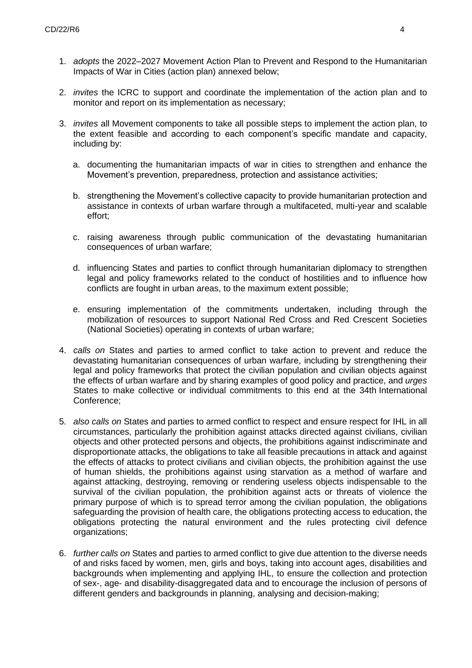- 1. *adopts* the 2022–2027 Movement Action Plan to Prevent and Respond to the Humanitarian Impacts of War in Cities (action plan) annexed below;
- 2. *invites* the ICRC to support and coordinate the implementation of the action plan and to monitor and report on its implementation as necessary;
- 3. *invites* all Movement components to take all possible steps to implement the action plan, to the extent feasible and according to each component's specific mandate and capacity, including by:
	- a. documenting the humanitarian impacts of war in cities to strengthen and enhance the Movement's prevention, preparedness, protection and assistance activities;
	- b. strengthening the Movement's collective capacity to provide humanitarian protection and assistance in contexts of urban warfare through a multifaceted, multi-year and scalable effort;
	- c. raising awareness through public communication of the devastating humanitarian consequences of urban warfare;
	- d. influencing States and parties to conflict through humanitarian diplomacy to strengthen legal and policy frameworks related to the conduct of hostilities and to influence how conflicts are fought in urban areas, to the maximum extent possible;
	- e. ensuring implementation of the commitments undertaken, including through the mobilization of resources to support National Red Cross and Red Crescent Societies (National Societies) operating in contexts of urban warfare;
- 4. *calls on* States and parties to armed conflict to take action to prevent and reduce the devastating humanitarian consequences of urban warfare, including by strengthening their legal and policy frameworks that protect the civilian population and civilian objects against the effects of urban warfare and by sharing examples of good policy and practice, and *urges* States to make collective or individual commitments to this end at the 34th International Conference;
- 5. *also calls on* States and parties to armed conflict to respect and ensure respect for IHL in all circumstances, particularly the prohibition against attacks directed against civilians, civilian objects and other protected persons and objects, the prohibitions against indiscriminate and disproportionate attacks, the obligations to take all feasible precautions in attack and against the effects of attacks to protect civilians and civilian objects, the prohibition against the use of human shields, the prohibitions against using starvation as a method of warfare and against attacking, destroying, removing or rendering useless objects indispensable to the survival of the civilian population, the prohibition against acts or threats of violence the primary purpose of which is to spread terror among the civilian population, the obligations safeguarding the provision of health care, the obligations protecting access to education, the obligations protecting the natural environment and the rules protecting civil defence organizations;
- 6. *further calls on* States and parties to armed conflict to give due attention to the diverse needs of and risks faced by women, men, girls and boys, taking into account ages, disabilities and backgrounds when implementing and applying IHL, to ensure the collection and protection of sex-, age- and disability-disaggregated data and to encourage the inclusion of persons of different genders and backgrounds in planning, analysing and decision-making;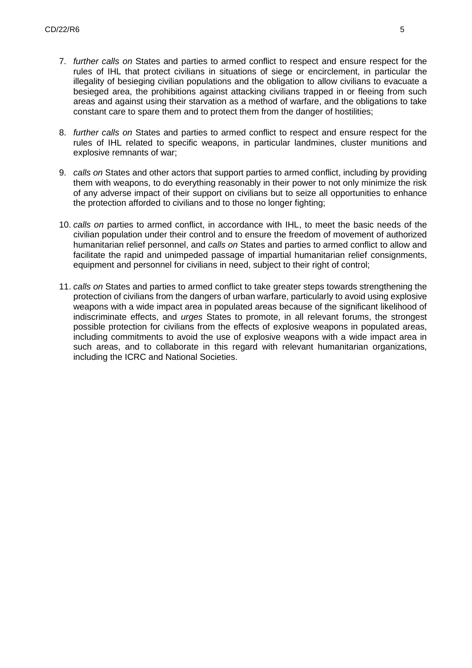- 7. *further calls on* States and parties to armed conflict to respect and ensure respect for the rules of IHL that protect civilians in situations of siege or encirclement, in particular the illegality of besieging civilian populations and the obligation to allow civilians to evacuate a besieged area, the prohibitions against attacking civilians trapped in or fleeing from such areas and against using their starvation as a method of warfare, and the obligations to take constant care to spare them and to protect them from the danger of hostilities;
- 8. *further calls on* States and parties to armed conflict to respect and ensure respect for the rules of IHL related to specific weapons, in particular landmines, cluster munitions and explosive remnants of war;
- 9. *calls on* States and other actors that support parties to armed conflict, including by providing them with weapons, to do everything reasonably in their power to not only minimize the risk of any adverse impact of their support on civilians but to seize all opportunities to enhance the protection afforded to civilians and to those no longer fighting;
- 10. *calls on* parties to armed conflict, in accordance with IHL, to meet the basic needs of the civilian population under their control and to ensure the freedom of movement of authorized humanitarian relief personnel, and *calls on* States and parties to armed conflict to allow and facilitate the rapid and unimpeded passage of impartial humanitarian relief consignments, equipment and personnel for civilians in need, subject to their right of control;
- 11. *calls on* States and parties to armed conflict to take greater steps towards strengthening the protection of civilians from the dangers of urban warfare, particularly to avoid using explosive weapons with a wide impact area in populated areas because of the significant likelihood of indiscriminate effects, and *urges* States to promote, in all relevant forums, the strongest possible protection for civilians from the effects of explosive weapons in populated areas, including commitments to avoid the use of explosive weapons with a wide impact area in such areas, and to collaborate in this regard with relevant humanitarian organizations, including the ICRC and National Societies.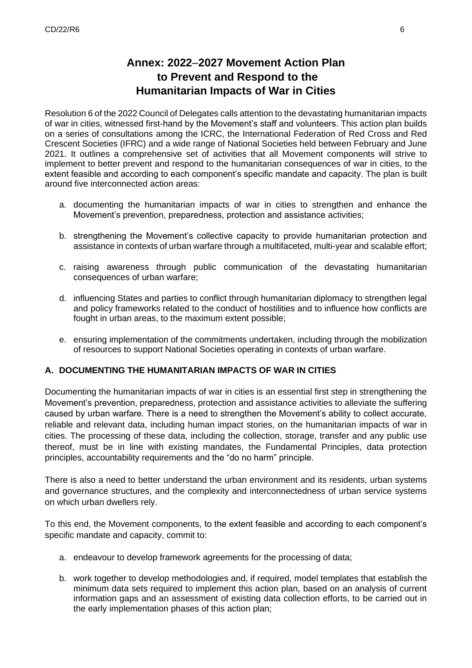### **Annex: 2022**–**2027 Movement Action Plan to Prevent and Respond to the Humanitarian Impacts of War in Cities**

Resolution 6 of the 2022 Council of Delegates calls attention to the devastating humanitarian impacts of war in cities, witnessed first-hand by the Movement's staff and volunteers. This action plan builds on a series of consultations among the ICRC, the International Federation of Red Cross and Red Crescent Societies (IFRC) and a wide range of National Societies held between February and June 2021. It outlines a comprehensive set of activities that all Movement components will strive to implement to better prevent and respond to the humanitarian consequences of war in cities, to the extent feasible and according to each component's specific mandate and capacity. The plan is built around five interconnected action areas:

- a. documenting the humanitarian impacts of war in cities to strengthen and enhance the Movement's prevention, preparedness, protection and assistance activities;
- b. strengthening the Movement's collective capacity to provide humanitarian protection and assistance in contexts of urban warfare through a multifaceted, multi-year and scalable effort;
- c. raising awareness through public communication of the devastating humanitarian consequences of urban warfare;
- d. influencing States and parties to conflict through humanitarian diplomacy to strengthen legal and policy frameworks related to the conduct of hostilities and to influence how conflicts are fought in urban areas, to the maximum extent possible;
- e. ensuring implementation of the commitments undertaken, including through the mobilization of resources to support National Societies operating in contexts of urban warfare.

#### **A. DOCUMENTING THE HUMANITARIAN IMPACTS OF WAR IN CITIES**

Documenting the humanitarian impacts of war in cities is an essential first step in strengthening the Movement's prevention, preparedness, protection and assistance activities to alleviate the suffering caused by urban warfare. There is a need to strengthen the Movement's ability to collect accurate, reliable and relevant data, including human impact stories, on the humanitarian impacts of war in cities. The processing of these data, including the collection, storage, transfer and any public use thereof, must be in line with existing mandates, the Fundamental Principles, data protection principles, accountability requirements and the "do no harm" principle.

There is also a need to better understand the urban environment and its residents, urban systems and governance structures, and the complexity and interconnectedness of urban service systems on which urban dwellers rely.

To this end, the Movement components, to the extent feasible and according to each component's specific mandate and capacity, commit to:

- a. endeavour to develop framework agreements for the processing of data;
- b. work together to develop methodologies and, if required, model templates that establish the minimum data sets required to implement this action plan, based on an analysis of current information gaps and an assessment of existing data collection efforts, to be carried out in the early implementation phases of this action plan;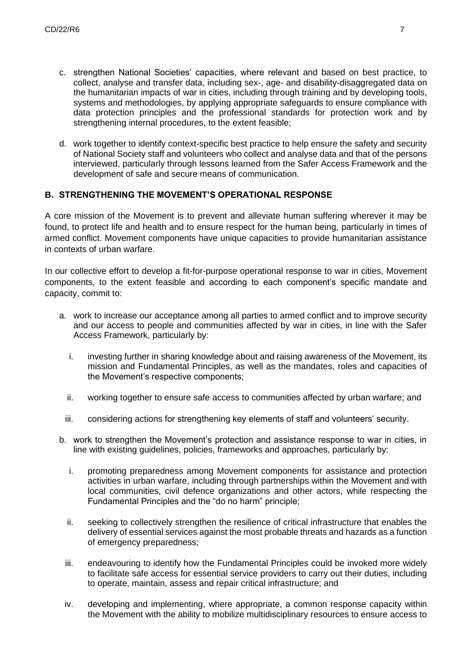- c. strengthen National Societies' capacities, where relevant and based on best practice, to collect, analyse and transfer data, including sex-, age- and disability-disaggregated data on the humanitarian impacts of war in cities, including through training and by developing tools, systems and methodologies, by applying appropriate safeguards to ensure compliance with data protection principles and the professional standards for protection work and by strengthening internal procedures, to the extent feasible:
- d. work together to identify context-specific best practice to help ensure the safety and security of National Society staff and volunteers who collect and analyse data and that of the persons interviewed, particularly through lessons learned from the Safer Access Framework and the development of safe and secure means of communication.

#### **B. STRENGTHENING THE MOVEMENT'S OPERATIONAL RESPONSE**

A core mission of the Movement is to prevent and alleviate human suffering wherever it may be found, to protect life and health and to ensure respect for the human being, particularly in times of armed conflict. Movement components have unique capacities to provide humanitarian assistance in contexts of urban warfare.

In our collective effort to develop a fit-for-purpose operational response to war in cities, Movement components, to the extent feasible and according to each component's specific mandate and capacity, commit to:

- a. work to increase our acceptance among all parties to armed conflict and to improve security and our access to people and communities affected by war in cities, in line with the Safer Access Framework, particularly by:
	- i. investing further in sharing knowledge about and raising awareness of the Movement, its mission and Fundamental Principles, as well as the mandates, roles and capacities of the Movement's respective components;
	- ii. working together to ensure safe access to communities affected by urban warfare; and
	- iii. considering actions for strengthening key elements of staff and volunteers' security.
- b. work to strengthen the Movement's protection and assistance response to war in cities, in line with existing guidelines, policies, frameworks and approaches, particularly by:
	- i. promoting preparedness among Movement components for assistance and protection activities in urban warfare, including through partnerships within the Movement and with local communities, civil defence organizations and other actors, while respecting the Fundamental Principles and the "do no harm" principle;
	- ii. seeking to collectively strengthen the resilience of critical infrastructure that enables the delivery of essential services against the most probable threats and hazards as a function of emergency preparedness;
	- iii. endeavouring to identify how the Fundamental Principles could be invoked more widely to facilitate safe access for essential service providers to carry out their duties, including to operate, maintain, assess and repair critical infrastructure; and
	- iv. developing and implementing, where appropriate, a common response capacity within the Movement with the ability to mobilize multidisciplinary resources to ensure access to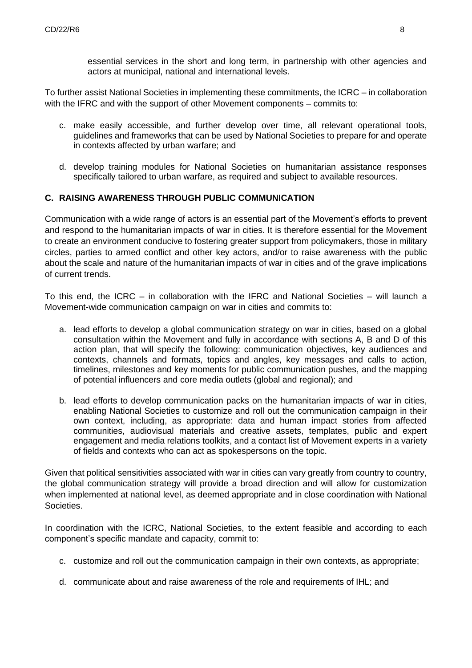essential services in the short and long term, in partnership with other agencies and actors at municipal, national and international levels.

To further assist National Societies in implementing these commitments, the ICRC – in collaboration with the IFRC and with the support of other Movement components – commits to:

- c. make easily accessible, and further develop over time, all relevant operational tools, guidelines and frameworks that can be used by National Societies to prepare for and operate in contexts affected by urban warfare; and
- d. develop training modules for National Societies on humanitarian assistance responses specifically tailored to urban warfare, as required and subject to available resources.

#### **C. RAISING AWARENESS THROUGH PUBLIC COMMUNICATION**

Communication with a wide range of actors is an essential part of the Movement's efforts to prevent and respond to the humanitarian impacts of war in cities. It is therefore essential for the Movement to create an environment conducive to fostering greater support from policymakers, those in military circles, parties to armed conflict and other key actors, and/or to raise awareness with the public about the scale and nature of the humanitarian impacts of war in cities and of the grave implications of current trends.

To this end, the ICRC – in collaboration with the IFRC and National Societies – will launch a Movement-wide communication campaign on war in cities and commits to:

- a. lead efforts to develop a global communication strategy on war in cities, based on a global consultation within the Movement and fully in accordance with sections A, B and D of this action plan, that will specify the following: communication objectives, key audiences and contexts, channels and formats, topics and angles, key messages and calls to action, timelines, milestones and key moments for public communication pushes, and the mapping of potential influencers and core media outlets (global and regional); and
- b. lead efforts to develop communication packs on the humanitarian impacts of war in cities, enabling National Societies to customize and roll out the communication campaign in their own context, including, as appropriate: data and human impact stories from affected communities, audiovisual materials and creative assets, templates, public and expert engagement and media relations toolkits, and a contact list of Movement experts in a variety of fields and contexts who can act as spokespersons on the topic.

Given that political sensitivities associated with war in cities can vary greatly from country to country, the global communication strategy will provide a broad direction and will allow for customization when implemented at national level, as deemed appropriate and in close coordination with National Societies.

In coordination with the ICRC, National Societies, to the extent feasible and according to each component's specific mandate and capacity, commit to:

- c. customize and roll out the communication campaign in their own contexts, as appropriate;
- d. communicate about and raise awareness of the role and requirements of IHL; and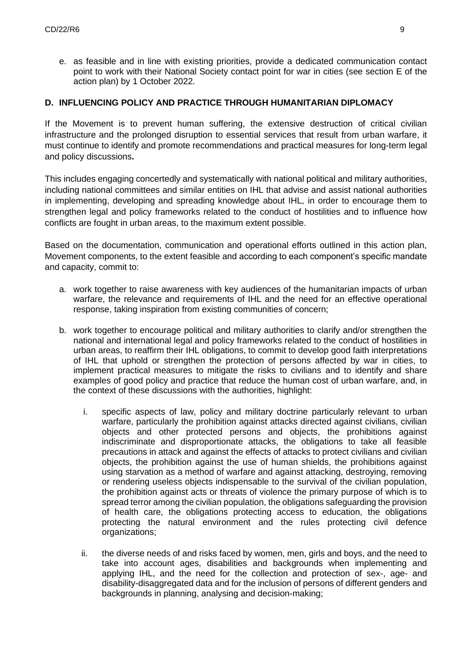e. as feasible and in line with existing priorities, provide a dedicated communication contact point to work with their National Society contact point for war in cities (see section E of the action plan) by 1 October 2022.

#### **D. INFLUENCING POLICY AND PRACTICE THROUGH HUMANITARIAN DIPLOMACY**

If the Movement is to prevent human suffering, the extensive destruction of critical civilian infrastructure and the prolonged disruption to essential services that result from urban warfare, it must continue to identify and promote recommendations and practical measures for long-term legal and policy discussions**.**

This includes engaging concertedly and systematically with national political and military authorities, including national committees and similar entities on IHL that advise and assist national authorities in implementing, developing and spreading knowledge about IHL, in order to encourage them to strengthen legal and policy frameworks related to the conduct of hostilities and to influence how conflicts are fought in urban areas, to the maximum extent possible.

Based on the documentation, communication and operational efforts outlined in this action plan, Movement components, to the extent feasible and according to each component's specific mandate and capacity, commit to:

- a. work together to raise awareness with key audiences of the humanitarian impacts of urban warfare, the relevance and requirements of IHL and the need for an effective operational response, taking inspiration from existing communities of concern;
- b. work together to encourage political and military authorities to clarify and/or strengthen the national and international legal and policy frameworks related to the conduct of hostilities in urban areas, to reaffirm their IHL obligations, to commit to develop good faith interpretations of IHL that uphold or strengthen the protection of persons affected by war in cities, to implement practical measures to mitigate the risks to civilians and to identify and share examples of good policy and practice that reduce the human cost of urban warfare, and, in the context of these discussions with the authorities, highlight:
	- i. specific aspects of law, policy and military doctrine particularly relevant to urban warfare, particularly the prohibition against attacks directed against civilians, civilian objects and other protected persons and objects, the prohibitions against indiscriminate and disproportionate attacks, the obligations to take all feasible precautions in attack and against the effects of attacks to protect civilians and civilian objects, the prohibition against the use of human shields, the prohibitions against using starvation as a method of warfare and against attacking, destroying, removing or rendering useless objects indispensable to the survival of the civilian population, the prohibition against acts or threats of violence the primary purpose of which is to spread terror among the civilian population, the obligations safeguarding the provision of health care, the obligations protecting access to education, the obligations protecting the natural environment and the rules protecting civil defence organizations;
	- ii. the diverse needs of and risks faced by women, men, girls and boys, and the need to take into account ages, disabilities and backgrounds when implementing and applying IHL, and the need for the collection and protection of sex-, age- and disability-disaggregated data and for the inclusion of persons of different genders and backgrounds in planning, analysing and decision-making;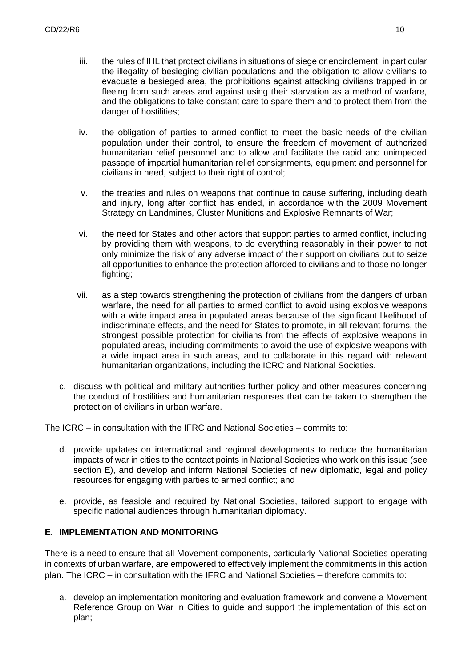- iii. the rules of IHL that protect civilians in situations of siege or encirclement, in particular the illegality of besieging civilian populations and the obligation to allow civilians to evacuate a besieged area, the prohibitions against attacking civilians trapped in or fleeing from such areas and against using their starvation as a method of warfare, and the obligations to take constant care to spare them and to protect them from the danger of hostilities;
- iv. the obligation of parties to armed conflict to meet the basic needs of the civilian population under their control, to ensure the freedom of movement of authorized humanitarian relief personnel and to allow and facilitate the rapid and unimpeded passage of impartial humanitarian relief consignments, equipment and personnel for civilians in need, subject to their right of control;
- v. the treaties and rules on weapons that continue to cause suffering, including death and injury, long after conflict has ended, in accordance with the 2009 Movement Strategy on Landmines, Cluster Munitions and Explosive Remnants of War;
- vi. the need for States and other actors that support parties to armed conflict, including by providing them with weapons, to do everything reasonably in their power to not only minimize the risk of any adverse impact of their support on civilians but to seize all opportunities to enhance the protection afforded to civilians and to those no longer fighting:
- vii. as a step towards strengthening the protection of civilians from the dangers of urban warfare, the need for all parties to armed conflict to avoid using explosive weapons with a wide impact area in populated areas because of the significant likelihood of indiscriminate effects, and the need for States to promote, in all relevant forums, the strongest possible protection for civilians from the effects of explosive weapons in populated areas, including commitments to avoid the use of explosive weapons with a wide impact area in such areas, and to collaborate in this regard with relevant humanitarian organizations, including the ICRC and National Societies.
- c. discuss with political and military authorities further policy and other measures concerning the conduct of hostilities and humanitarian responses that can be taken to strengthen the protection of civilians in urban warfare.

The ICRC – in consultation with the IFRC and National Societies – commits to:

- d. provide updates on international and regional developments to reduce the humanitarian impacts of war in cities to the contact points in National Societies who work on this issue (see section E), and develop and inform National Societies of new diplomatic, legal and policy resources for engaging with parties to armed conflict; and
- e. provide, as feasible and required by National Societies, tailored support to engage with specific national audiences through humanitarian diplomacy.

#### **E. IMPLEMENTATION AND MONITORING**

There is a need to ensure that all Movement components, particularly National Societies operating in contexts of urban warfare, are empowered to effectively implement the commitments in this action plan. The ICRC – in consultation with the IFRC and National Societies – therefore commits to:

a. develop an implementation monitoring and evaluation framework and convene a Movement Reference Group on War in Cities to guide and support the implementation of this action plan;